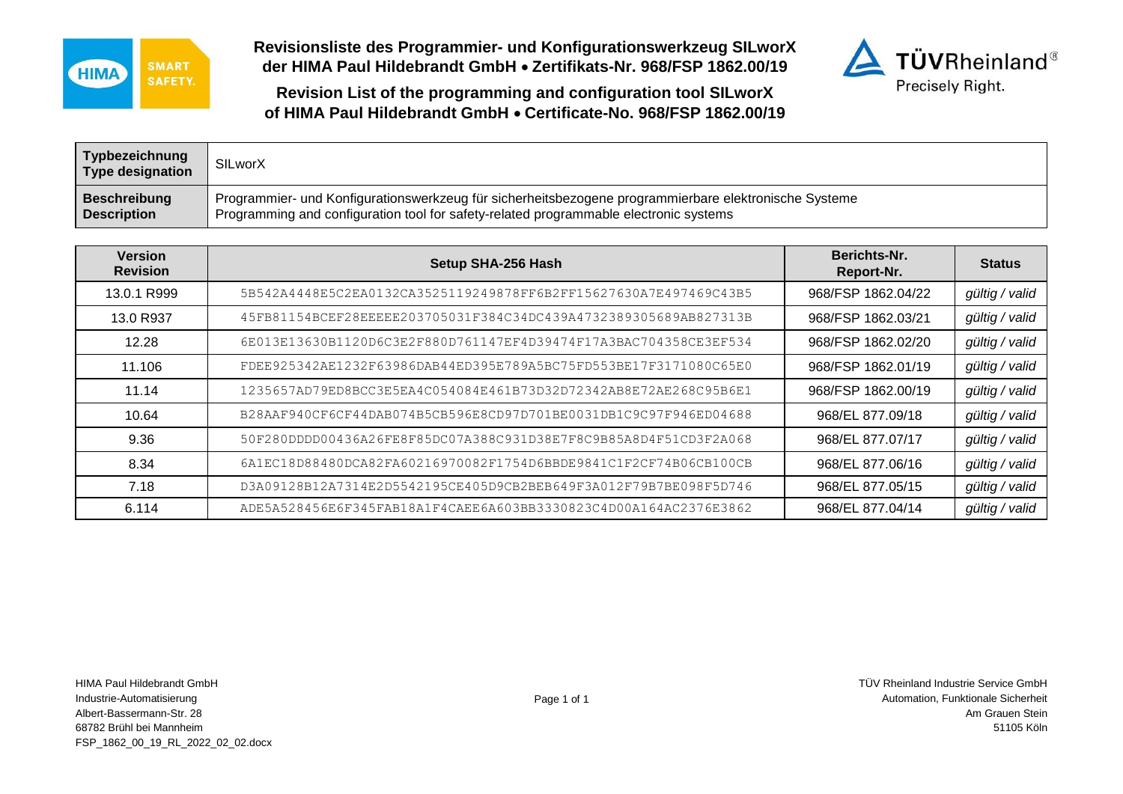

**Revisionsliste des Programmier- und Konfigurationswerkzeug SILworX der HIMA Paul Hildebrandt GmbH Zertifikats-Nr. 968/FSP 1862.00/19**



**Revision List of the programming and configuration tool SILworX of HIMA Paul Hildebrandt GmbH Certificate-No. 968/FSP 1862.00/19**

| Typbezeichnung<br><b>Type designation</b> | SILworX                                                                                               |
|-------------------------------------------|-------------------------------------------------------------------------------------------------------|
| <b>Beschreibung</b>                       | Programmier- und Konfigurationswerkzeug für sicherheitsbezogene programmierbare elektronische Systeme |
| <b>Description</b>                        | Programming and configuration tool for safety-related programmable electronic systems                 |

| <b>Version</b><br><b>Revision</b> | Setup SHA-256 Hash                                               | Berichts-Nr.<br>Report-Nr. | <b>Status</b>  |
|-----------------------------------|------------------------------------------------------------------|----------------------------|----------------|
| 13.0.1 R999                       | 5B542A4448E5C2EA0132CA3525119249878FF6B2FF15627630A7E497469C43B5 | 968/FSP 1862.04/22         | gültig / valid |
| 13.0 R937                         | 45FB81154BCEF28EEEEE203705031F384C34DC439A4732389305689AB827313B | 968/FSP 1862.03/21         | gültig / valid |
| 12.28                             | 6E013E13630B1120D6C3E2F880D761147EF4D39474F17A3BAC704358CE3EF534 | 968/FSP 1862.02/20         | gültig / valid |
| 11.106                            | FDEE925342AE1232F63986DAB44ED395E789A5BC75FD553BE17F3171080C65E0 | 968/FSP 1862.01/19         | gültig / valid |
| 11.14                             | 1235657AD79ED8BCC3E5EA4C054084E461B73D32D72342AB8E72AE268C95B6E1 | 968/FSP 1862.00/19         | gültig / valid |
| 10.64                             | B28AAF940CF6CF44DAB074B5CB596E8CD97D701BE0031DB1C9C97F946ED04688 | 968/EL 877.09/18           | gültig / valid |
| 9.36                              | 50F280DDDD00436A26FE8F85DC07A388C931D38E7F8C9B85A8D4F51CD3F2A068 | 968/EL 877.07/17           | gültig / valid |
| 8.34                              | 6A1EC18D88480DCA82FA60216970082F1754D6BBDE9841C1F2CF74B06CB100CB | 968/EL 877.06/16           | gültig / valid |
| 7.18                              | D3A09128B12A7314E2D5542195CE405D9CB2BEB649F3A012F79B7BE098F5D746 | 968/EL 877.05/15           | gültig / valid |
| 6.114                             | ADE5A528456E6F345FAB18A1F4CAEE6A603BB3330823C4D00A164AC2376E3862 | 968/EL 877.04/14           | gültig / valid |